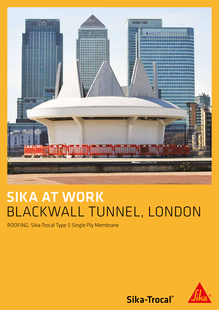

# SIKA AT WORK BLACKWALL TUNNEL, LONDON

ROOFING: Sika-Trocal Type S Single Ply Membrane



Sika-Trocal®